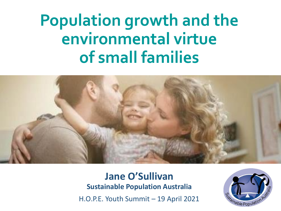# **Population growth and the environmental virtue of small families**



### **Jane O'Sullivan Sustainable Population Australia**

H.O.P.E. Youth Summit – 19 April 2021

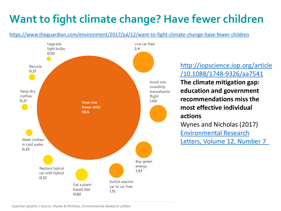# **Want to fight climate change? Have fewer children**

https://www.theguardian.com/environment/2017/jul/12/want-to-fight-climate-change-have-fewer-children



http://iopscience.iop.org/article /10.1088/1748-9326/aa7541

**The climate mitigation gap: education and government recommendations miss the most effective individual actions** Wynes and Nicholas (2017) Environmental Research

Letters, Volume 12, Number 7

Guardian graphic | Source: Wynes & Nicholas, Environmental Research Letters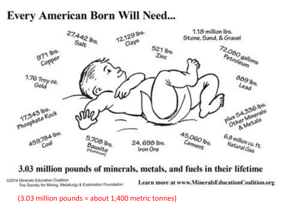## **Every American Born Will Need...**



### 3.03 million pounds of minerals, metals, and fuels in their lifetime

@2014 Minerals Education Coalition The Society for Mining, Metallurgy & Exploration Foundation

Learn more at www.MineralsEducationCoalition.org

(3.03 million pounds = about 1,400 metric tonnes)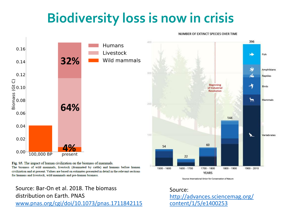# **Biodiversity loss is now in crisis**

NUMBER OF EXTINCT SPECIES OVER TIME



**YEARS** Source: International Union for Conservation of Nature

Source: http://advances.sciencemag.org/ content/1/5/e1400253

The biomass of wild mammals, livestock (dominated by cattle) and humans before human civilization and at present. Values are based on estimates presented in detail in the relevant sections for humans and livestock, wild mammals and pre-human biomass.

#### Source: Bar-On et al. 2018. The biomass distribution on Earth. PNAS www.pnas.org/cgi/doi/10.1073/pnas.1711842115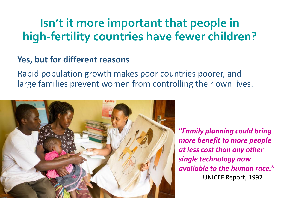## **Isn't it more important that people in high-fertility countries have fewer children?**

## **Yes, but for different reasons**

Rapid population growth makes poor countries poorer, and large families prevent women from controlling their own lives.



**"***Family planning could bring more benefit to more people at less cost than any other single technology now available to the human race.***"**  UNICEF Report, 1992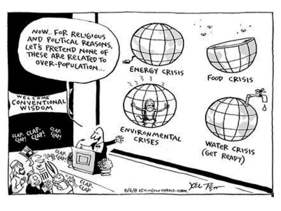